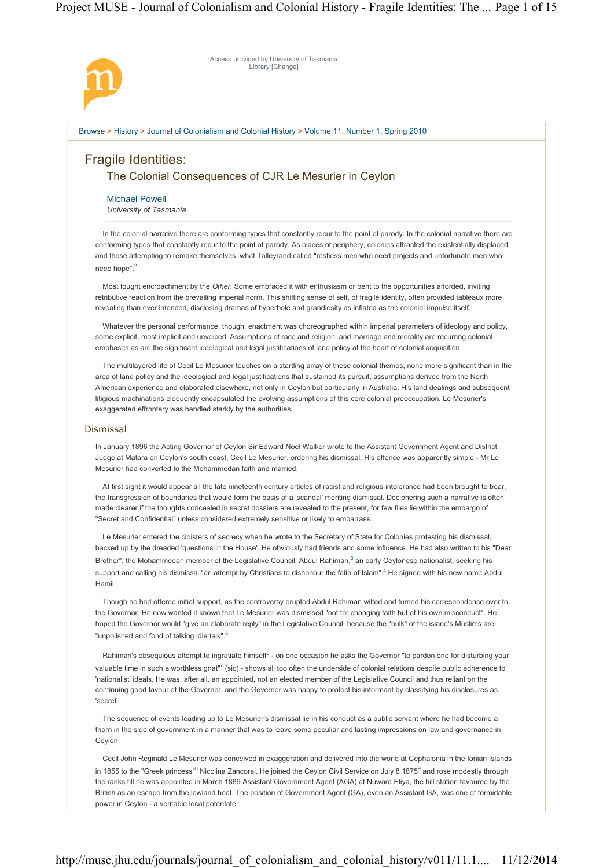# Project MUSE - Journal of Colonialism and Colonial History - Fragile Identities: The ... Page 1 of 15

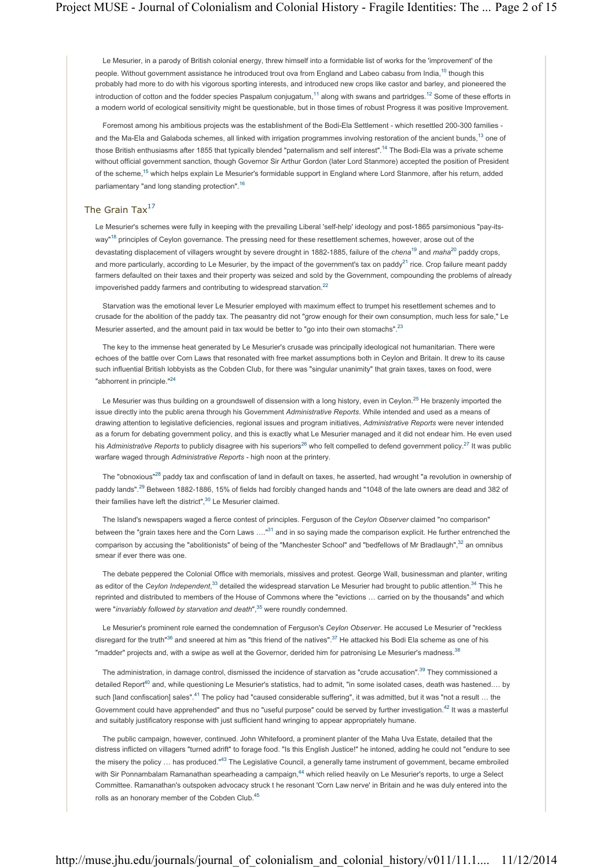Le Mesurier, in a parody of British colonial energy, threw himself into a formidable list of works for the 'improvement' of the people. Without government assistance he introduced trout ova from England and Labeo cabasu from India.<sup>10</sup> though this probably had more to do with his vigorous sporting interests, and introduced new crops like castor and barley, and pioneered the introduction of cotton and the fodder species Paspalum conjugatum.<sup>11</sup> along with swans and partridges.<sup>12</sup> Some of these efforts in a modern world of ecological sensitivity might be questionable, but in those times of robust Progress it was positive Improvement.

Foremost among his ambitious projects was the establishment of the Bodi-Ela Settlement - which resettled 200-300 families and the Ma-Ela and Galaboda schemes, all linked with irrigation programmes involving restoration of the ancient bunds,<sup>13</sup> one of those British enthusiasms after 1855 that typically blended "paternalism and self interest".<sup>14</sup> The Bodi-Ela was a private scheme without official government sanction, though Governor Sir Arthur Gordon (later Lord Stanmore) accepted the position of President of the scheme,15 which helps explain Le Mesurier's formidable support in England where Lord Stanmore, after his return, added parliamentary "and long standing protection".<sup>16</sup>

# The Grain Tax $^{17}$

Le Mesurier's schemes were fully in keeping with the prevailing Liberal 'self-help' ideology and post-1865 parsimonious "pay-itsway"<sup>18</sup> principles of Ceylon governance. The pressing need for these resettlement schemes, however, arose out of the devastating displacement of villagers wrought by severe drought in 1882-1885, failure of the *chena*19 and *maha*20 paddy crops, and more particularly, according to Le Mesurier, by the impact of the government's tax on paddy<sup>21</sup> rice. Crop failure meant paddy farmers defaulted on their taxes and their property was seized and sold by the Government, compounding the problems of already impoverished paddy farmers and contributing to widespread starvation.<sup>22</sup>

Starvation was the emotional lever Le Mesurier employed with maximum effect to trumpet his resettlement schemes and to crusade for the abolition of the paddy tax. The peasantry did not "grow enough for their own consumption, much less for sale," Le Mesurier asserted, and the amount paid in tax would be better to "go into their own stomachs".<sup>23</sup>

The key to the immense heat generated by Le Mesurier's crusade was principally ideological not humanitarian. There were echoes of the battle over Corn Laws that resonated with free market assumptions both in Ceylon and Britain. It drew to its cause such influential British lobbyists as the Cobden Club, for there was "singular unanimity" that grain taxes, taxes on food, were "abhorrent in principle."<sup>24</sup>

Le Mesurier was thus building on a groundswell of dissension with a long history, even in Ceylon.<sup>25</sup> He brazenly imported the issue directly into the public arena through his Government *Administrative Reports*. While intended and used as a means of drawing attention to legislative deficiencies, regional issues and program initiatives, *Administrative Reports* were never intended as a forum for debating government policy, and this is exactly what Le Mesurier managed and it did not endear him. He even used his Administrative Reports to publicly disagree with his superiors<sup>26</sup> who felt compelled to defend government policy.<sup>27</sup> It was public warfare waged through *Administrative Reports* - high noon at the printery.

The "obnoxious"<sup>28</sup> paddy tax and confiscation of land in default on taxes, he asserted, had wrought "a revolution in ownership of paddy lands".29 Between 1882-1886, 15% of fields had forcibly changed hands and "1048 of the late owners are dead and 382 of their families have left the district",<sup>30</sup> Le Mesurier claimed.

The Island's newspapers waged a fierce contest of principles. Ferguson of the *Ceylon Observer* claimed "no comparison" between the "grain taxes here and the Corn Laws ...."<sup>31</sup> and in so saying made the comparison explicit. He further entrenched the comparison by accusing the "abolitionists" of being of the "Manchester School" and "bedfellows of Mr Bradlaugh",32 an omnibus smear if ever there was one.

The debate peppered the Colonial Office with memorials, missives and protest. George Wall, businessman and planter, writing as editor of the *Ceylon Independent*,<sup>33</sup> detailed the widespread starvation Le Mesurier had brought to public attention.<sup>34</sup> This he reprinted and distributed to members of the House of Commons where the "evictions … carried on by the thousands" and which were "*invariably followed by starvation and death*",<sup>35</sup> were roundly condemned.

Le Mesurier's prominent role earned the condemnation of Ferguson's *Ceylon Observer*. He accused Le Mesurier of "reckless disregard for the truth<sup>"36</sup> and sneered at him as "this friend of the natives".<sup>37</sup> He attacked his Bodi Ela scheme as one of his "madder" projects and, with a swipe as well at the Governor, derided him for patronising Le Mesurier's madness.<sup>38</sup>

The administration, in damage control, dismissed the incidence of starvation as "crude accusation".<sup>39</sup> They commissioned a detailed Report<sup>40</sup> and, while questioning Le Mesurier's statistics, had to admit, "in some isolated cases, death was hastened..., by such [land confiscation] sales".<sup>41</sup> The policy had "caused considerable suffering", it was admitted, but it was "not a result ... the Government could have apprehended" and thus no "useful purpose" could be served by further investigation.<sup>42</sup> It was a masterful and suitably justificatory response with just sufficient hand wringing to appear appropriately humane.

The public campaign, however, continued. John Whitefoord, a prominent planter of the Maha Uva Estate, detailed that the distress inflicted on villagers "turned adrift" to forage food. "Is this English Justice!" he intoned, adding he could not "endure to see the misery the policy ... has produced."<sup>43</sup> The Legislative Council, a generally tame instrument of government, became embroiled with Sir Ponnambalam Ramanathan spearheading a campaign,<sup>44</sup> which relied heavily on Le Mesurier's reports, to urge a Select Committee. Ramanathan's outspoken advocacy struck t he resonant 'Corn Law nerve' in Britain and he was duly entered into the rolls as an honorary member of the Cobden Club.<sup>45</sup>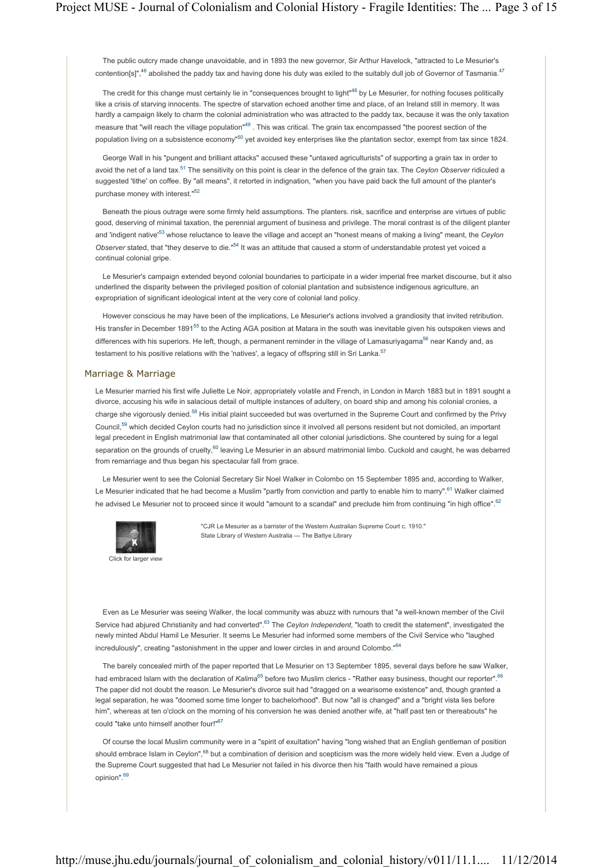The public outcry made change unavoidable, and in 1893 the new governor, Sir Arthur Havelock, "attracted to Le Mesurier's contention[s]",<sup>46</sup> abolished the paddy tax and having done his duty was exiled to the suitably dull iob of Governor of Tasmania.<sup>47</sup>

The credit for this change must certainly lie in "consequences brought to light"<sup>48</sup> by Le Mesurier, for nothing focuses politically like a crisis of starving innocents. The spectre of starvation echoed another time and place, of an Ireland still in memory. It was hardly a campaign likely to charm the colonial administration who was attracted to the paddy tax, because it was the only taxation measure that "will reach the village population"<sup>49</sup>. This was critical. The grain tax encompassed "the poorest section of the population living on a subsistence economy<sup>n50</sup> yet avoided key enterprises like the plantation sector, exempt from tax since 1824.

George Wall in his "pungent and brilliant attacks" accused these "untaxed agriculturists" of supporting a grain tax in order to avoid the net of a land tax.51 The sensitivity on this point is clear in the defence of the grain tax. The *Ceylon Observer* ridiculed a suggested 'tithe' on coffee. By "all means", it retorted in indignation, "when you have paid back the full amount of the planter's purchase money with interest."52

Beneath the pious outrage were some firmly held assumptions. The planters. risk, sacrifice and enterprise are virtues of public good, deserving of minimal taxation, the perennial argument of business and privilege. The moral contrast is of the diligent planter and 'indigent native'53 whose reluctance to leave the village and accept an "honest means of making a living" meant, the *Ceylon Observer* stated, that "they deserve to die."54 It was an attitude that caused a storm of understandable protest yet voiced a continual colonial gripe.

Le Mesurier's campaign extended beyond colonial boundaries to participate in a wider imperial free market discourse, but it also underlined the disparity between the privileged position of colonial plantation and subsistence indigenous agriculture, an expropriation of significant ideological intent at the very core of colonial land policy.

However conscious he may have been of the implications, Le Mesurier's actions involved a grandiosity that invited retribution. His transfer in December 1891<sup>55</sup> to the Acting AGA position at Matara in the south was inevitable given his outspoken views and differences with his superiors. He left, though, a permanent reminder in the village of Lamasuriyagama<sup>56</sup> near Kandy and, as testament to his positive relations with the 'natives', a legacy of offspring still in Sri Lanka.<sup>57</sup>

### Marriage & Marriage

Le Mesurier married his first wife Juliette Le Noir, appropriately volatile and French, in London in March 1883 but in 1891 sought a divorce, accusing his wife in salacious detail of multiple instances of adultery, on board ship and among his colonial cronies, a charge she vigorously denied.<sup>58</sup> His initial plaint succeeded but was overturned in the Supreme Court and confirmed by the Privy Council,59 which decided Ceylon courts had no jurisdiction since it involved all persons resident but not domiciled, an important legal precedent in English matrimonial law that contaminated all other colonial jurisdictions. She countered by suing for a legal separation on the grounds of cruelty,<sup>60</sup> leaving Le Mesurier in an absurd matrimonial limbo. Cuckold and caught, he was debarred from remarriage and thus began his spectacular fall from grace.

Le Mesurier went to see the Colonial Secretary Sir Noel Walker in Colombo on 15 September 1895 and, according to Walker, Le Mesurier indicated that he had become a Muslim "partly from conviction and partly to enable him to marry".<sup>61</sup> Walker claimed he advised Le Mesurier not to proceed since it would "amount to a scandal" and preclude him from continuing "in high office".<sup>62</sup>



Click for larger view

"CJR Le Mesurier as a barrister of the Western Australian Supreme Court c. 1910." State Library of Western Australia — The Battye Library

Even as Le Mesurier was seeing Walker, the local community was abuzz with rumours that "a well-known member of the Civil Service had abjured Christianity and had converted".<sup>63</sup> The *Ceylon Independent*, "loath to credit the statement", investigated the newly minted Abdul Hamil Le Mesurier. It seems Le Mesurier had informed some members of the Civil Service who "laughed incredulously", creating "astonishment in the upper and lower circles in and around Colombo."<sup>64</sup>

The barely concealed mirth of the paper reported that Le Mesurier on 13 September 1895, several days before he saw Walker, had embraced Islam with the declaration of *Kalima*<sup>65</sup> before two Muslim clerics - "Rather easy business, thought our reporter".<sup>66</sup> The paper did not doubt the reason. Le Mesurier's divorce suit had "dragged on a wearisome existence" and, though granted a legal separation, he was "doomed some time longer to bachelorhood". But now "all is changed" and a "bright vista lies before him", whereas at ten o'clock on the morning of his conversion he was denied another wife, at "half past ten or thereabouts" he could "take unto himself another four!"67

Of course the local Muslim community were in a "spirit of exultation" having "long wished that an English gentleman of position should embrace Islam in Ceylon",<sup>68</sup> but a combination of derision and scepticism was the more widely held view. Even a Judge of the Supreme Court suggested that had Le Mesurier not failed in his divorce then his "faith would have remained a pious opinion".69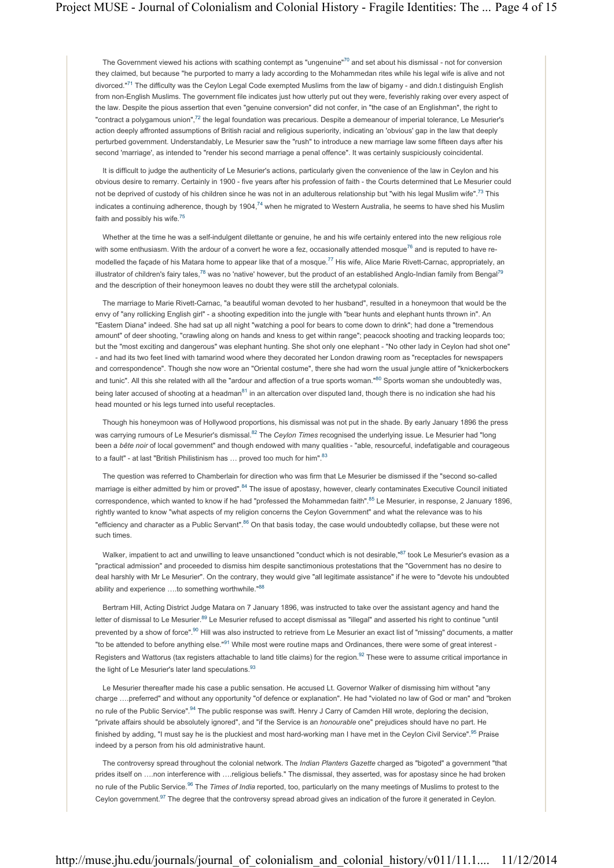The Government viewed his actions with scathing contempt as "ungenuine"<sup>70</sup> and set about his dismissal - not for conversion they claimed, but because "he purported to marry a lady according to the Mohammedan rites while his legal wife is alive and not divorced."<sup>71</sup> The difficulty was the Ceylon Legal Code exempted Muslims from the law of bigamy - and didn.t distinguish English from non-English Muslims. The government file indicates just how utterly put out they were, feverishly raking over every aspect of the law. Despite the pious assertion that even "genuine conversion" did not confer, in "the case of an Englishman", the right to "contract a polygamous union",<sup>72</sup> the legal foundation was precarious. Despite a demeanour of imperial tolerance, Le Mesurier's action deeply affronted assumptions of British racial and religious superiority, indicating an 'obvious' gap in the law that deeply perturbed government. Understandably, Le Mesurier saw the "rush" to introduce a new marriage law some fifteen days after his second 'marriage', as intended to "render his second marriage a penal offence". It was certainly suspiciously coincidental.

It is difficult to judge the authenticity of Le Mesurier's actions, particularly given the convenience of the law in Ceylon and his obvious desire to remarry. Certainly in 1900 - five years after his profession of faith - the Courts determined that Le Mesurier could not be deprived of custody of his children since he was not in an adulterous relationship but "with his legal Muslim wife".<sup>73</sup> This indicates a continuing adherence, though by 1904,<sup>74</sup> when he migrated to Western Australia, he seems to have shed his Muslim faith and possibly his wife.<sup>75</sup>

Whether at the time he was a self-indulgent dilettante or genuine, he and his wife certainly entered into the new religious role with some enthusiasm. With the ardour of a convert he wore a fez, occasionally attended mosque<sup>76</sup> and is reputed to have remodelled the façade of his Matara home to appear like that of a mosque.<sup>77</sup> His wife, Alice Marie Rivett-Carnac, appropriately, an illustrator of children's fairy tales,<sup>78</sup> was no 'native' however, but the product of an established Anglo-Indian family from Bengal<sup>79</sup> and the description of their honeymoon leaves no doubt they were still the archetypal colonials.

The marriage to Marie Rivett-Carnac, "a beautiful woman devoted to her husband", resulted in a honeymoon that would be the envy of "any rollicking English girl" - a shooting expedition into the jungle with "bear hunts and elephant hunts thrown in". An "Eastern Diana" indeed. She had sat up all night "watching a pool for bears to come down to drink"; had done a "tremendous amount" of deer shooting, "crawling along on hands and kness to get within range"; peacock shooting and tracking leopards too; but the "most exciting and dangerous" was elephant hunting. She shot only one elephant - "No other lady in Ceylon had shot one" - and had its two feet lined with tamarind wood where they decorated her London drawing room as "receptacles for newspapers and correspondence". Though she now wore an "Oriental costume", there she had worn the usual jungle attire of "knickerbockers and tunic". All this she related with all the "ardour and affection of a true sports woman."80 Sports woman she undoubtedly was, being later accused of shooting at a headman<sup>81</sup> in an altercation over disputed land, though there is no indication she had his head mounted or his legs turned into useful receptacles.

Though his honeymoon was of Hollywood proportions, his dismissal was not put in the shade. By early January 1896 the press was carrying rumours of Le Mesurier's dismissal.82 The *Ceylon Times* recognised the underlying issue. Le Mesurier had "long been a *bête noir* of local government" and though endowed with many qualities - "able, resourceful, indefatigable and courageous to a fault" - at last "British Philistinism has ... proved too much for him".<sup>83</sup>

The question was referred to Chamberlain for direction who was firm that Le Mesurier be dismissed if the "second so-called marriage is either admitted by him or proved".<sup>84</sup> The issue of apostasy, however, clearly contaminates Executive Council initiated correspondence, which wanted to know if he had "professed the Mohammedan faith".<sup>85</sup> Le Mesurier, in response, 2 January 1896, rightly wanted to know "what aspects of my religion concerns the Ceylon Government" and what the relevance was to his "efficiency and character as a Public Servant".<sup>86</sup> On that basis today, the case would undoubtedly collapse, but these were not such times.

Walker, impatient to act and unwilling to leave unsanctioned "conduct which is not desirable,"<sup>87</sup> took Le Mesurier's evasion as a "practical admission" and proceeded to dismiss him despite sanctimonious protestations that the "Government has no desire to deal harshly with Mr Le Mesurier". On the contrary, they would give "all legitimate assistance" if he were to "devote his undoubted ability and experience ....to something worthwhile."88

Bertram Hill, Acting District Judge Matara on 7 January 1896, was instructed to take over the assistant agency and hand the letter of dismissal to Le Mesurier.<sup>89</sup> Le Mesurier refused to accept dismissal as "illegal" and asserted his right to continue "until prevented by a show of force".<sup>90</sup> Hill was also instructed to retrieve from Le Mesurier an exact list of "missing" documents, a matter "to be attended to before anything else."<sup>91</sup> While most were routine maps and Ordinances, there were some of great interest -Registers and Wattorus (tax registers attachable to land title claims) for the region.<sup>92</sup> These were to assume critical importance in the light of Le Mesurier's later land speculations.<sup>93</sup>

Le Mesurier thereafter made his case a public sensation. He accused Lt. Governor Walker of dismissing him without "any charge ….preferred" and without any opportunity "of defence or explanation". He had "violated no law of God or man" and "broken no rule of the Public Service".<sup>94</sup> The public response was swift. Henry J Carry of Camden Hill wrote, deploring the decision, "private affairs should be absolutely ignored", and "if the Service is an *honourable* one" prejudices should have no part. He finished by adding, "I must say he is the pluckiest and most hard-working man I have met in the Ceylon Civil Service".<sup>95</sup> Praise indeed by a person from his old administrative haunt.

The controversy spread throughout the colonial network. The *Indian Planters Gazette* charged as "bigoted" a government "that prides itself on ….non interference with ….religious beliefs." The dismissal, they asserted, was for apostasy since he had broken no rule of the Public Service.96 The *Times of India* reported, too, particularly on the many meetings of Muslims to protest to the Ceylon government.<sup>97</sup> The degree that the controversy spread abroad gives an indication of the furore it generated in Ceylon.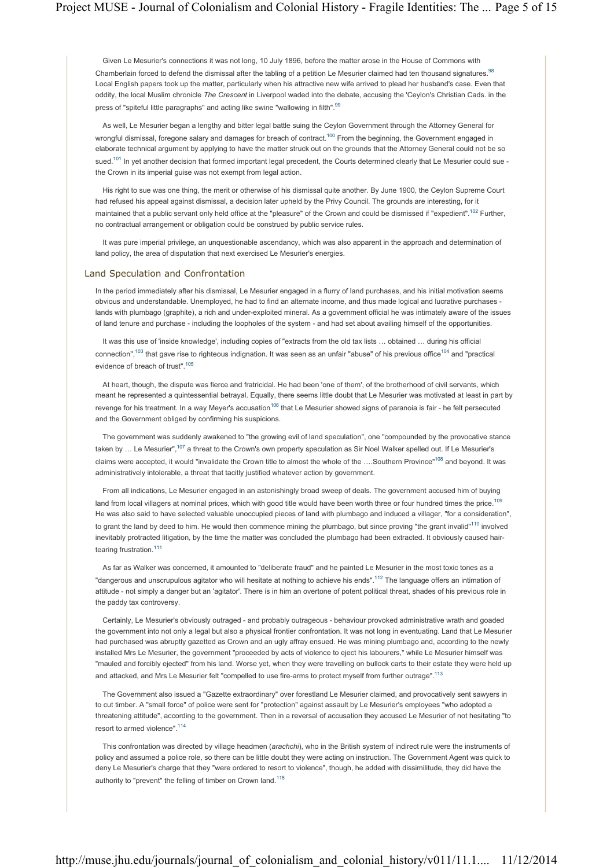Given Le Mesurier's connections it was not long, 10 July 1896, before the matter arose in the House of Commons with Chamberlain forced to defend the dismissal after the tabling of a petition Le Mesurier claimed had ten thousand signatures.<sup>98</sup> Local English papers took up the matter, particularly when his attractive new wife arrived to plead her husband's case. Even that oddity, the local Muslim chronicle *The Crescent* in Liverpool waded into the debate, accusing the 'Ceylon's Christian Cads. in the press of "spiteful little paragraphs" and acting like swine "wallowing in filth".<sup>99</sup>

As well, Le Mesurier began a lengthy and bitter legal battle suing the Ceylon Government through the Attorney General for wrongful dismissal, foregone salary and damages for breach of contract.<sup>100</sup> From the beginning, the Government engaged in elaborate technical argument by applying to have the matter struck out on the grounds that the Attorney General could not be so sued.<sup>101</sup> In yet another decision that formed important legal precedent, the Courts determined clearly that Le Mesurier could sue the Crown in its imperial guise was not exempt from legal action.

His right to sue was one thing, the merit or otherwise of his dismissal quite another. By June 1900, the Ceylon Supreme Court had refused his appeal against dismissal, a decision later upheld by the Privy Council. The grounds are interesting, for it maintained that a public servant only held office at the "pleasure" of the Crown and could be dismissed if "expedient".<sup>102</sup> Further, no contractual arrangement or obligation could be construed by public service rules.

It was pure imperial privilege, an unquestionable ascendancy, which was also apparent in the approach and determination of land policy, the area of disputation that next exercised Le Mesurier's energies.

### Land Speculation and Confrontation

In the period immediately after his dismissal, Le Mesurier engaged in a flurry of land purchases, and his initial motivation seems obvious and understandable. Unemployed, he had to find an alternate income, and thus made logical and lucrative purchases lands with plumbago (graphite), a rich and under-exploited mineral. As a government official he was intimately aware of the issues of land tenure and purchase - including the loopholes of the system - and had set about availing himself of the opportunities.

It was this use of 'inside knowledge', including copies of "extracts from the old tax lists ... obtained ... during his official connection",  $103$  that gave rise to righteous indignation. It was seen as an unfair "abuse" of his previous office  $104$  and "practical" evidence of breach of trust".<sup>105</sup>

At heart, though, the dispute was fierce and fratricidal. He had been 'one of them', of the brotherhood of civil servants, which meant he represented a quintessential betrayal. Equally, there seems little doubt that Le Mesurier was motivated at least in part by revenge for his treatment. In a way Meyer's accusation<sup>106</sup> that Le Mesurier showed signs of paranoia is fair - he felt persecuted and the Government obliged by confirming his suspicions.

The government was suddenly awakened to "the growing evil of land speculation", one "compounded by the provocative stance taken by ... Le Mesurier",<sup>107</sup> a threat to the Crown's own property speculation as Sir Noel Walker spelled out. If Le Mesurier's claims were accepted, it would "invalidate the Crown title to almost the whole of the ....Southern Province"<sup>108</sup> and beyond. It was administratively intolerable, a threat that tacitly justified whatever action by government.

From all indications, Le Mesurier engaged in an astonishingly broad sweep of deals. The government accused him of buying land from local villagers at nominal prices, which with good title would have been worth three or four hundred times the price.<sup>109</sup> He was also said to have selected valuable unoccupied pieces of land with plumbago and induced a villager, "for a consideration", to grant the land by deed to him. He would then commence mining the plumbago, but since proving "the grant invalid"<sup>110</sup> involved inevitably protracted litigation, by the time the matter was concluded the plumbago had been extracted. It obviously caused hairtearing frustration<sup>111</sup>

As far as Walker was concerned, it amounted to "deliberate fraud" and he painted Le Mesurier in the most toxic tones as a "dangerous and unscrupulous agitator who will hesitate at nothing to achieve his ends".<sup>112</sup> The language offers an intimation of attitude - not simply a danger but an 'agitator'. There is in him an overtone of potent political threat, shades of his previous role in the paddy tax controversy.

Certainly, Le Mesurier's obviously outraged - and probably outrageous - behaviour provoked administrative wrath and goaded the government into not only a legal but also a physical frontier confrontation. It was not long in eventuating. Land that Le Mesurier had purchased was abruptly gazetted as Crown and an ugly affray ensued. He was mining plumbago and, according to the newly installed Mrs Le Mesurier, the government "proceeded by acts of violence to eject his labourers," while Le Mesurier himself was "mauled and forcibly ejected" from his land. Worse yet, when they were travelling on bullock carts to their estate they were held up and attacked, and Mrs Le Mesurier felt "compelled to use fire-arms to protect myself from further outrage".<sup>113</sup>

The Government also issued a "Gazette extraordinary" over forestland Le Mesurier claimed, and provocatively sent sawyers in to cut timber. A "small force" of police were sent for "protection" against assault by Le Mesurier's employees "who adopted a threatening attitude", according to the government. Then in a reversal of accusation they accused Le Mesurier of not hesitating "to resort to armed violence".<sup>114</sup>

This confrontation was directed by village headmen (*arachchi*), who in the British system of indirect rule were the instruments of policy and assumed a police role, so there can be little doubt they were acting on instruction. The Government Agent was quick to deny Le Mesurier's charge that they "were ordered to resort to violence", though, he added with dissimilitude, they did have the authority to "prevent" the felling of timber on Crown land.<sup>115</sup>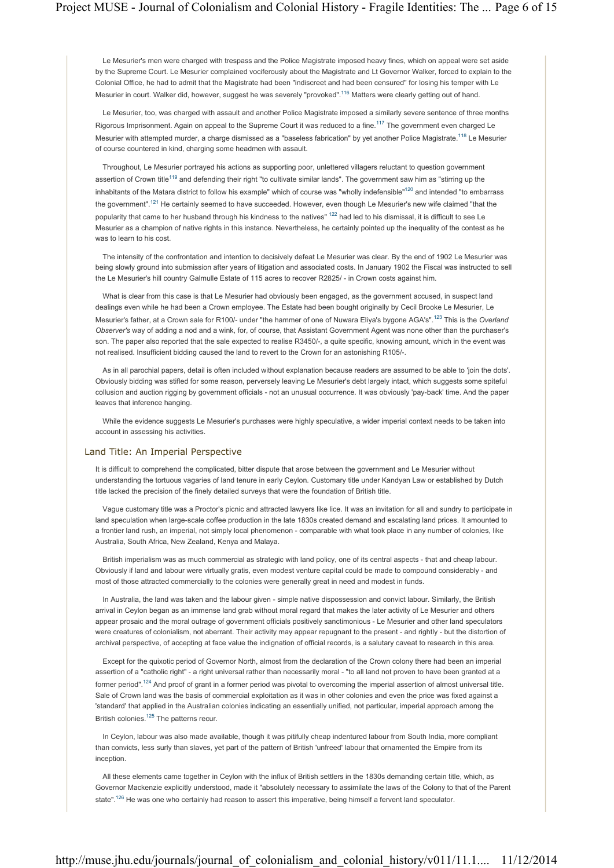Le Mesurier's men were charged with trespass and the Police Magistrate imposed heavy fines, which on appeal were set aside by the Supreme Court. Le Mesurier complained vociferously about the Magistrate and Lt Governor Walker, forced to explain to the Colonial Office, he had to admit that the Magistrate had been "indiscreet and had been censured" for losing his temper with Le Mesurier in court. Walker did, however, suggest he was severely "provoked".<sup>116</sup> Matters were clearly getting out of hand.

Le Mesurier, too, was charged with assault and another Police Magistrate imposed a similarly severe sentence of three months Rigorous Imprisonment. Again on appeal to the Supreme Court it was reduced to a fine.<sup>117</sup> The government even charged Le Mesurier with attempted murder, a charge dismissed as a "baseless fabrication" by yet another Police Magistrate.<sup>118</sup> Le Mesurier of course countered in kind, charging some headmen with assault.

Throughout, Le Mesurier portrayed his actions as supporting poor, unlettered villagers reluctant to question government assertion of Crown title<sup>119</sup> and defending their right "to cultivate similar lands". The government saw him as "stirring up the inhabitants of the Matara district to follow his example" which of course was "wholly indefensible"<sup>120</sup> and intended "to embarrass the government".<sup>121</sup> He certainly seemed to have succeeded. However, even though Le Mesurier's new wife claimed "that the popularity that came to her husband through his kindness to the natives" <sup>122</sup> had led to his dismissal, it is difficult to see Le Mesurier as a champion of native rights in this instance. Nevertheless, he certainly pointed up the inequality of the contest as he was to learn to his cost.

The intensity of the confrontation and intention to decisively defeat Le Mesurier was clear. By the end of 1902 Le Mesurier was being slowly ground into submission after years of litigation and associated costs. In January 1902 the Fiscal was instructed to sell the Le Mesurier's hill country Galmulle Estate of 115 acres to recover R2825/ - in Crown costs against him.

What is clear from this case is that Le Mesurier had obviously been engaged, as the government accused, in suspect land dealings even while he had been a Crown employee. The Estate had been bought originally by Cecil Brooke Le Mesurier, Le Mesurier's father, at a Crown sale for R100/- under "the hammer of one of Nuwara Eliya's bygone AGA's".123 This is the *Overland Observer's* way of adding a nod and a wink, for, of course, that Assistant Government Agent was none other than the purchaser's son. The paper also reported that the sale expected to realise R3450/-, a quite specific, knowing amount, which in the event was not realised. Insufficient bidding caused the land to revert to the Crown for an astonishing R105/-.

As in all parochial papers, detail is often included without explanation because readers are assumed to be able to 'join the dots'. Obviously bidding was stifled for some reason, perversely leaving Le Mesurier's debt largely intact, which suggests some spiteful collusion and auction rigging by government officials - not an unusual occurrence. It was obviously 'pay-back' time. And the paper leaves that inference hanging.

While the evidence suggests Le Mesurier's purchases were highly speculative, a wider imperial context needs to be taken into account in assessing his activities.

## Land Title: An Imperial Perspective

It is difficult to comprehend the complicated, bitter dispute that arose between the government and Le Mesurier without understanding the tortuous vagaries of land tenure in early Ceylon. Customary title under Kandyan Law or established by Dutch title lacked the precision of the finely detailed surveys that were the foundation of British title.

Vague customary title was a Proctor's picnic and attracted lawyers like lice. It was an invitation for all and sundry to participate in land speculation when large-scale coffee production in the late 1830s created demand and escalating land prices. It amounted to a frontier land rush, an imperial, not simply local phenomenon - comparable with what took place in any number of colonies, like Australia, South Africa, New Zealand, Kenya and Malaya.

British imperialism was as much commercial as strategic with land policy, one of its central aspects - that and cheap labour. Obviously if land and labour were virtually gratis, even modest venture capital could be made to compound considerably - and most of those attracted commercially to the colonies were generally great in need and modest in funds.

In Australia, the land was taken and the labour given - simple native dispossession and convict labour. Similarly, the British arrival in Ceylon began as an immense land grab without moral regard that makes the later activity of Le Mesurier and others appear prosaic and the moral outrage of government officials positively sanctimonious - Le Mesurier and other land speculators were creatures of colonialism, not aberrant. Their activity may appear repugnant to the present - and rightly - but the distortion of archival perspective, of accepting at face value the indignation of official records, is a salutary caveat to research in this area.

Except for the quixotic period of Governor North, almost from the declaration of the Crown colony there had been an imperial assertion of a "catholic right" - a right universal rather than necessarily moral - "to all land not proven to have been granted at a former period".<sup>124</sup> And proof of grant in a former period was pivotal to overcoming the imperial assertion of almost universal title. Sale of Crown land was the basis of commercial exploitation as it was in other colonies and even the price was fixed against a 'standard' that applied in the Australian colonies indicating an essentially unified, not particular, imperial approach among the British colonies.<sup>125</sup> The patterns recur.

In Ceylon, labour was also made available, though it was pitifully cheap indentured labour from South India, more compliant than convicts, less surly than slaves, yet part of the pattern of British 'unfreed' labour that ornamented the Empire from its inception.

All these elements came together in Ceylon with the influx of British settlers in the 1830s demanding certain title, which, as Governor Mackenzie explicitly understood, made it "absolutely necessary to assimilate the laws of the Colony to that of the Parent state".<sup>126</sup> He was one who certainly had reason to assert this imperative, being himself a fervent land speculator.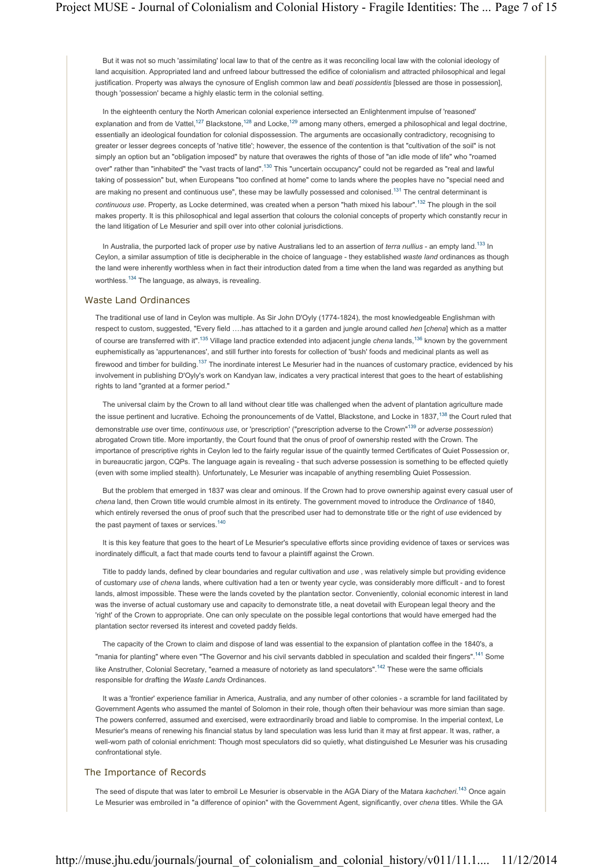But it was not so much 'assimilating' local law to that of the centre as it was reconciling local law with the colonial ideology of land acquisition. Appropriated land and unfreed labour buttressed the edifice of colonialism and attracted philosophical and legal justification. Property was always the cynosure of English common law and *beati possidentis* [blessed are those in possession], though 'possession' became a highly elastic term in the colonial setting.

In the eighteenth century the North American colonial experience intersected an Enlightenment impulse of 'reasoned' explanation and from de Vattel,<sup>127</sup> Blackstone,<sup>128</sup> and Locke,<sup>129</sup> among many others, emerged a philosophical and legal doctrine, essentially an ideological foundation for colonial dispossession. The arguments are occasionally contradictory, recognising to greater or lesser degrees concepts of 'native title'; however, the essence of the contention is that "cultivation of the soil" is not simply an option but an "obligation imposed" by nature that overawes the rights of those of "an idle mode of life" who "roamed over" rather than "inhabited" the "vast tracts of land".130 This "uncertain occupancy" could not be regarded as "real and lawful taking of possession" but, when Europeans "too confined at home" come to lands where the peoples have no "special need and are making no present and continuous use", these may be lawfully possessed and colonised.<sup>131</sup> The central determinant is *continuous use*. Property, as Locke determined, was created when a person "hath mixed his labour".132 The plough in the soil makes property. It is this philosophical and legal assertion that colours the colonial concepts of property which constantly recur in the land litigation of Le Mesurier and spill over into other colonial jurisdictions.

In Australia, the purported lack of proper *use* by native Australians led to an assertion of *terra nullius* - an empty land.133 In Ceylon, a similar assumption of title is decipherable in the choice of language - they established *waste land* ordinances as though the land were inherently worthless when in fact their introduction dated from a time when the land was regarded as anything but worthless.134 The language, as always, is revealing.

## Waste Land Ordinances

The traditional use of land in Ceylon was multiple. As Sir John D'Oyly (1774-1824), the most knowledgeable Englishman with respect to custom, suggested, "Every field ….has attached to it a garden and jungle around called *hen* [*chena*] which as a matter of course are transferred with it".135 Village land practice extended into adjacent jungle *chena* lands,136 known by the government euphemistically as 'appurtenances', and still further into forests for collection of 'bush' foods and medicinal plants as well as firewood and timber for building.<sup>137</sup> The inordinate interest Le Mesurier had in the nuances of customary practice, evidenced by his involvement in publishing D'Oyly's work on Kandyan law, indicates a very practical interest that goes to the heart of establishing rights to land "granted at a former period."

The universal claim by the Crown to all land without clear title was challenged when the advent of plantation agriculture made the issue pertinent and lucrative. Echoing the pronouncements of de Vattel, Blackstone, and Locke in 1837,<sup>138</sup> the Court ruled that demonstrable *use* over time, *continuous use*, or 'prescription' ("prescription adverse to the Crown"139 or *adverse possession*) abrogated Crown title. More importantly, the Court found that the onus of proof of ownership rested with the Crown. The importance of prescriptive rights in Ceylon led to the fairly regular issue of the quaintly termed Certificates of Quiet Possession or, in bureaucratic jargon, CQPs. The language again is revealing - that such adverse possession is something to be effected quietly (even with some implied stealth). Unfortunately, Le Mesurier was incapable of anything resembling Quiet Possession.

But the problem that emerged in 1837 was clear and ominous. If the Crown had to prove ownership against every casual user of *chena* land, then Crown title would crumble almost in its entirety. The government moved to introduce the *Ordinance* of 1840, which entirely reversed the onus of proof such that the prescribed user had to demonstrate title or the right of *use* evidenced by the past payment of taxes or services.<sup>140</sup>

It is this key feature that goes to the heart of Le Mesurier's speculative efforts since providing evidence of taxes or services was inordinately difficult, a fact that made courts tend to favour a plaintiff against the Crown.

Title to paddy lands, defined by clear boundaries and regular cultivation and *use* , was relatively simple but providing evidence of customary *use* of *chena* lands, where cultivation had a ten or twenty year cycle, was considerably more difficult - and to forest lands, almost impossible. These were the lands coveted by the plantation sector. Conveniently, colonial economic interest in land was the inverse of actual customary use and capacity to demonstrate title, a neat dovetail with European legal theory and the 'right' of the Crown to appropriate. One can only speculate on the possible legal contortions that would have emerged had the plantation sector reversed its interest and coveted paddy fields.

The capacity of the Crown to claim and dispose of land was essential to the expansion of plantation coffee in the 1840's, a "mania for planting" where even "The Governor and his civil servants dabbled in speculation and scalded their fingers".<sup>141</sup> Some like Anstruther, Colonial Secretary, "earned a measure of notoriety as land speculators".<sup>142</sup> These were the same officials responsible for drafting the *Waste Lands* Ordinances.

It was a 'frontier' experience familiar in America, Australia, and any number of other colonies - a scramble for land facilitated by Government Agents who assumed the mantel of Solomon in their role, though often their behaviour was more simian than sage. The powers conferred, assumed and exercised, were extraordinarily broad and liable to compromise. In the imperial context, Le Mesurier's means of renewing his financial status by land speculation was less lurid than it may at first appear. It was, rather, a well-worn path of colonial enrichment: Though most speculators did so quietly, what distinguished Le Mesurier was his crusading confrontational style.

# The Importance of Records

The seed of dispute that was later to embroil Le Mesurier is observable in the AGA Diary of the Matara *kachcheri*. 143 Once again Le Mesurier was embroiled in "a difference of opinion" with the Government Agent, significantly, over *chena* titles. While the GA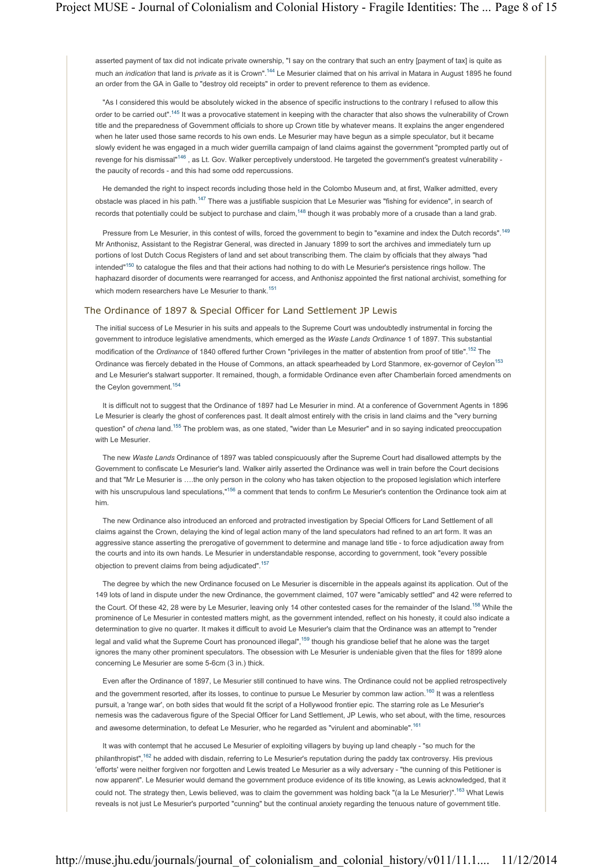asserted payment of tax did not indicate private ownership, "I say on the contrary that such an entry [payment of tax] is quite as much an *indication* that land is *private* as it is Crown".144 Le Mesurier claimed that on his arrival in Matara in August 1895 he found an order from the GA in Galle to "destroy old receipts" in order to prevent reference to them as evidence.

"As I considered this would be absolutely wicked in the absence of specific instructions to the contrary I refused to allow this order to be carried out".<sup>145</sup> It was a provocative statement in keeping with the character that also shows the vulnerability of Crown title and the preparedness of Government officials to shore up Crown title by whatever means. It explains the anger engendered when he later used those same records to his own ends. Le Mesurier may have begun as a simple speculator, but it became slowly evident he was engaged in a much wider guerrilla campaign of land claims against the government "prompted partly out of revenge for his dismissal<sup>"146</sup>, as Lt. Gov. Walker perceptively understood. He targeted the government's greatest vulnerability the paucity of records - and this had some odd repercussions.

He demanded the right to inspect records including those held in the Colombo Museum and, at first, Walker admitted, every obstacle was placed in his path.147 There was a justifiable suspicion that Le Mesurier was "fishing for evidence", in search of records that potentially could be subject to purchase and claim,<sup>148</sup> though it was probably more of a crusade than a land grab.

Pressure from Le Mesurier, in this contest of wills, forced the government to begin to "examine and index the Dutch records".<sup>149</sup> Mr Anthonisz, Assistant to the Registrar General, was directed in January 1899 to sort the archives and immediately turn up portions of lost Dutch Cocus Registers of land and set about transcribing them. The claim by officials that they always "had intended"<sup>150</sup> to catalogue the files and that their actions had nothing to do with Le Mesurier's persistence rings hollow. The haphazard disorder of documents were rearranged for access, and Anthonisz appointed the first national archivist, something for which modern researchers have Le Mesurier to thank.<sup>151</sup>

## The Ordinance of 1897 & Special Officer for Land Settlement JP Lewis

The initial success of Le Mesurier in his suits and appeals to the Supreme Court was undoubtedly instrumental in forcing the government to introduce legislative amendments, which emerged as the *Waste Lands Ordinance* 1 of 1897. This substantial modification of the *Ordinance* of 1840 offered further Crown "privileges in the matter of abstention from proof of title".152 The Ordinance was fiercely debated in the House of Commons, an attack spearheaded by Lord Stanmore, ex-governor of Ceylon<sup>153</sup> and Le Mesurier's stalwart supporter. It remained, though, a formidable Ordinance even after Chamberlain forced amendments on the Ceylon government.<sup>154</sup>

It is difficult not to suggest that the Ordinance of 1897 had Le Mesurier in mind. At a conference of Government Agents in 1896 Le Mesurier is clearly the ghost of conferences past. It dealt almost entirely with the crisis in land claims and the "very burning question" of *chena* land.155 The problem was, as one stated, "wider than Le Mesurier" and in so saying indicated preoccupation with Le Mesurier.

The new *Waste Lands* Ordinance of 1897 was tabled conspicuously after the Supreme Court had disallowed attempts by the Government to confiscate Le Mesurier's land. Walker airily asserted the Ordinance was well in train before the Court decisions and that "Mr Le Mesurier is ….the only person in the colony who has taken objection to the proposed legislation which interfere with his unscrupulous land speculations,"<sup>156</sup> a comment that tends to confirm Le Mesurier's contention the Ordinance took aim at him.

The new Ordinance also introduced an enforced and protracted investigation by Special Officers for Land Settlement of all claims against the Crown, delaying the kind of legal action many of the land speculators had refined to an art form. It was an aggressive stance asserting the prerogative of government to determine and manage land title - to force adjudication away from the courts and into its own hands. Le Mesurier in understandable response, according to government, took "every possible objection to prevent claims from being adjudicated".157

The degree by which the new Ordinance focused on Le Mesurier is discernible in the appeals against its application. Out of the 149 lots of land in dispute under the new Ordinance, the government claimed, 107 were "amicably settled" and 42 were referred to the Court. Of these 42, 28 were by Le Mesurier, leaving only 14 other contested cases for the remainder of the Island.<sup>158</sup> While the prominence of Le Mesurier in contested matters might, as the government intended, reflect on his honesty, it could also indicate a determination to give no quarter. It makes it difficult to avoid Le Mesurier's claim that the Ordinance was an attempt to "render legal and valid what the Supreme Court has pronounced illegal",<sup>159</sup> though his grandiose belief that he alone was the target ignores the many other prominent speculators. The obsession with Le Mesurier is undeniable given that the files for 1899 alone concerning Le Mesurier are some 5-6cm (3 in.) thick.

Even after the Ordinance of 1897, Le Mesurier still continued to have wins. The Ordinance could not be applied retrospectively and the government resorted, after its losses, to continue to pursue Le Mesurier by common law action.<sup>160</sup> It was a relentless pursuit, a 'range war', on both sides that would fit the script of a Hollywood frontier epic. The starring role as Le Mesurier's nemesis was the cadaverous figure of the Special Officer for Land Settlement, JP Lewis, who set about, with the time, resources and awesome determination, to defeat Le Mesurier, who he regarded as "virulent and abominable".<sup>161</sup>

It was with contempt that he accused Le Mesurier of exploiting villagers by buying up land cheaply - "so much for the philanthropist",<sup>162</sup> he added with disdain, referring to Le Mesurier's reputation during the paddy tax controversy. His previous 'efforts' were neither forgiven nor forgotten and Lewis treated Le Mesurier as a wily adversary - "the cunning of this Petitioner is now apparent". Le Mesurier would demand the government produce evidence of its title knowing, as Lewis acknowledged, that it could not. The strategy then, Lewis believed, was to claim the government was holding back "(a la Le Mesurier)".<sup>163</sup> What Lewis reveals is not just Le Mesurier's purported "cunning" but the continual anxiety regarding the tenuous nature of government title.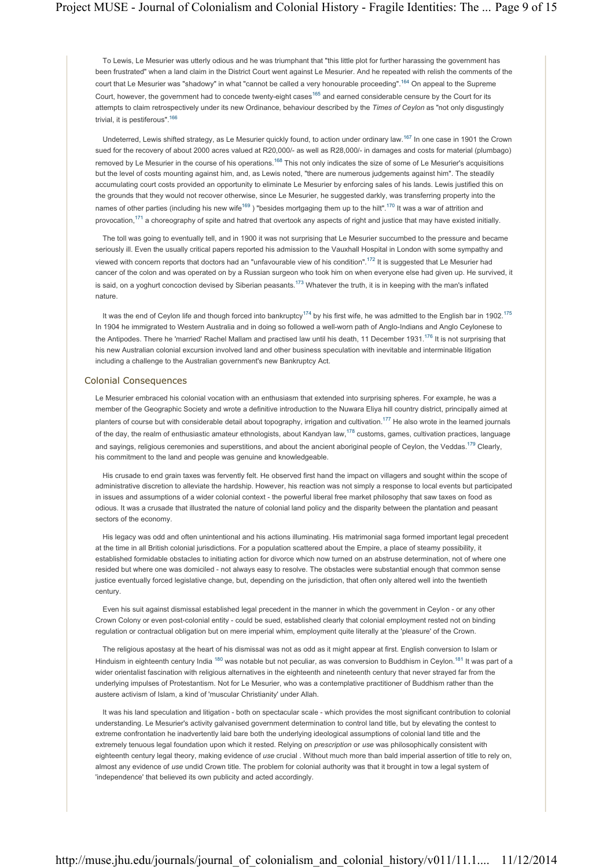To Lewis, Le Mesurier was utterly odious and he was triumphant that "this little plot for further harassing the government has been frustrated" when a land claim in the District Court went against Le Mesurier. And he repeated with relish the comments of the court that Le Mesurier was "shadowy" in what "cannot be called a very honourable proceeding".164 On appeal to the Supreme Court, however, the government had to concede twenty-eight cases<sup>165</sup> and earned considerable censure by the Court for its attempts to claim retrospectively under its new Ordinance, behaviour described by the *Times of Ceylon* as "not only disgustingly trivial, it is pestiferous".<sup>166</sup>

Undeterred, Lewis shifted strategy, as Le Mesurier quickly found, to action under ordinary law.167 In one case in 1901 the Crown sued for the recovery of about 2000 acres valued at R20,000/- as well as R28,000/- in damages and costs for material (plumbago) removed by Le Mesurier in the course of his operations.<sup>168</sup> This not only indicates the size of some of Le Mesurier's acquisitions but the level of costs mounting against him, and, as Lewis noted, "there are numerous judgements against him". The steadily accumulating court costs provided an opportunity to eliminate Le Mesurier by enforcing sales of his lands. Lewis justified this on the grounds that they would not recover otherwise, since Le Mesurier, he suggested darkly, was transferring property into the names of other parties (including his new wife<sup>169</sup>) "besides mortgaging them up to the hilt".<sup>170</sup> It was a war of attrition and provocation,<sup>171</sup> a choreography of spite and hatred that overtook any aspects of right and justice that may have existed initially.

The toll was going to eventually tell, and in 1900 it was not surprising that Le Mesurier succumbed to the pressure and became seriously ill. Even the usually critical papers reported his admission to the Vauxhall Hospital in London with some sympathy and viewed with concern reports that doctors had an "unfavourable view of his condition".<sup>172</sup> It is suggested that Le Mesurier had cancer of the colon and was operated on by a Russian surgeon who took him on when everyone else had given up. He survived, it is said, on a yoghurt concoction devised by Siberian peasants.<sup>173</sup> Whatever the truth, it is in keeping with the man's inflated nature.

It was the end of Ceylon life and though forced into bankruptcy<sup>174</sup> by his first wife, he was admitted to the English bar in 1902.<sup>175</sup> In 1904 he immigrated to Western Australia and in doing so followed a well-worn path of Anglo-Indians and Anglo Ceylonese to the Antipodes. There he 'married' Rachel Mallam and practised law until his death, 11 December 1931.<sup>176</sup> It is not surprising that his new Australian colonial excursion involved land and other business speculation with inevitable and interminable litigation including a challenge to the Australian government's new Bankruptcy Act.

## Colonial Consequences

Le Mesurier embraced his colonial vocation with an enthusiasm that extended into surprising spheres. For example, he was a member of the Geographic Society and wrote a definitive introduction to the Nuwara Eliya hill country district, principally aimed at planters of course but with considerable detail about topography, irrigation and cultivation.<sup>177</sup> He also wrote in the learned journals of the day, the realm of enthusiastic amateur ethnologists, about Kandyan law,<sup>178</sup> customs, games, cultivation practices, language and sayings, religious ceremonies and superstitions, and about the ancient aboriginal people of Ceylon, the Veddas.<sup>179</sup> Clearly, his commitment to the land and people was genuine and knowledgeable.

His crusade to end grain taxes was fervently felt. He observed first hand the impact on villagers and sought within the scope of administrative discretion to alleviate the hardship. However, his reaction was not simply a response to local events but participated in issues and assumptions of a wider colonial context - the powerful liberal free market philosophy that saw taxes on food as odious. It was a crusade that illustrated the nature of colonial land policy and the disparity between the plantation and peasant sectors of the economy.

His legacy was odd and often unintentional and his actions illuminating. His matrimonial saga formed important legal precedent at the time in all British colonial jurisdictions. For a population scattered about the Empire, a place of steamy possibility, it established formidable obstacles to initiating action for divorce which now turned on an abstruse determination, not of where one resided but where one was domiciled - not always easy to resolve. The obstacles were substantial enough that common sense justice eventually forced legislative change, but, depending on the jurisdiction, that often only altered well into the twentieth century.

Even his suit against dismissal established legal precedent in the manner in which the government in Ceylon - or any other Crown Colony or even post-colonial entity - could be sued, established clearly that colonial employment rested not on binding regulation or contractual obligation but on mere imperial whim, employment quite literally at the 'pleasure' of the Crown.

The religious apostasy at the heart of his dismissal was not as odd as it might appear at first. English conversion to Islam or Hinduism in eighteenth century India <sup>180</sup> was notable but not peculiar, as was conversion to Buddhism in Ceylon.<sup>181</sup> It was part of a wider orientalist fascination with religious alternatives in the eighteenth and nineteenth century that never strayed far from the underlying impulses of Protestantism. Not for Le Mesurier, who was a contemplative practitioner of Buddhism rather than the austere activism of Islam, a kind of 'muscular Christianity' under Allah.

It was his land speculation and litigation - both on spectacular scale - which provides the most significant contribution to colonial understanding. Le Mesurier's activity galvanised government determination to control land title, but by elevating the contest to extreme confrontation he inadvertently laid bare both the underlying ideological assumptions of colonial land title and the extremely tenuous legal foundation upon which it rested. Relying on *prescription* or *use* was philosophically consistent with eighteenth century legal theory, making evidence of *use* crucial . Without much more than bald imperial assertion of title to rely on, almost any evidence of *use* undid Crown title. The problem for colonial authority was that it brought in tow a legal system of 'independence' that believed its own publicity and acted accordingly.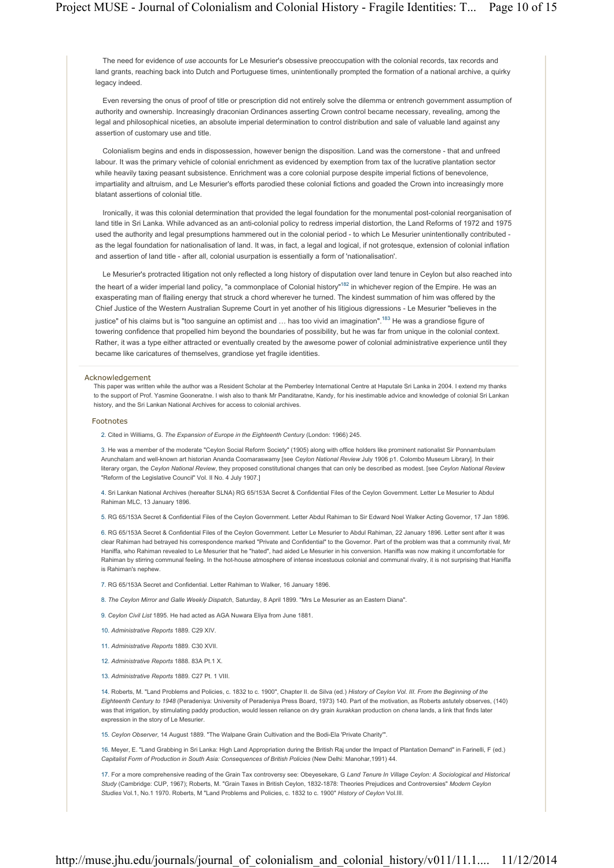The need for evidence of *use* accounts for Le Mesurier's obsessive preoccupation with the colonial records, tax records and land grants, reaching back into Dutch and Portuguese times, unintentionally prompted the formation of a national archive, a quirky legacy indeed.

Even reversing the onus of proof of title or prescription did not entirely solve the dilemma or entrench government assumption of authority and ownership. Increasingly draconian Ordinances asserting Crown control became necessary, revealing, among the legal and philosophical niceties, an absolute imperial determination to control distribution and sale of valuable land against any assertion of customary use and title.

Colonialism begins and ends in dispossession, however benign the disposition. Land was the cornerstone - that and unfreed labour. It was the primary vehicle of colonial enrichment as evidenced by exemption from tax of the lucrative plantation sector while heavily taxing peasant subsistence. Enrichment was a core colonial purpose despite imperial fictions of benevolence, impartiality and altruism, and Le Mesurier's efforts parodied these colonial fictions and goaded the Crown into increasingly more blatant assertions of colonial title.

Ironically, it was this colonial determination that provided the legal foundation for the monumental post-colonial reorganisation of land title in Sri Lanka. While advanced as an anti-colonial policy to redress imperial distortion, the Land Reforms of 1972 and 1975 used the authority and legal presumptions hammered out in the colonial period - to which Le Mesurier unintentionally contributed as the legal foundation for nationalisation of land. It was, in fact, a legal and logical, if not grotesque, extension of colonial inflation and assertion of land title - after all, colonial usurpation is essentially a form of 'nationalisation'.

Le Mesurier's protracted litigation not only reflected a long history of disputation over land tenure in Ceylon but also reached into the heart of a wider imperial land policy, "a commonplace of Colonial history"<sup>182</sup> in whichever region of the Empire. He was an exasperating man of flailing energy that struck a chord wherever he turned. The kindest summation of him was offered by the Chief Justice of the Western Australian Supreme Court in yet another of his litigious digressions - Le Mesurier "believes in the justice" of his claims but is "too sanguine an optimist and ... has too vivid an imagination".<sup>183</sup> He was a grandiose figure of towering confidence that propelled him beyond the boundaries of possibility, but he was far from unique in the colonial context. Rather, it was a type either attracted or eventually created by the awesome power of colonial administrative experience until they became like caricatures of themselves, grandiose yet fragile identities.

#### Acknowledgement

This paper was written while the author was a Resident Scholar at the Pemberley International Centre at Haputale Sri Lanka in 2004. I extend my thanks to the support of Prof. Yasmine Gooneratne. I wish also to thank Mr Panditaratne, Kandy, for his inestimable advice and knowledge of colonial Sri Lankan history, and the Sri Lankan National Archives for access to colonial archives.

#### Footnotes

2. Cited in Williams, G. *The Expansion of Europe in the Eighteenth Century* (London: 1966) 245.

3. He was a member of the moderate "Ceylon Social Reform Society" (1905) along with office holders like prominent nationalist Sir Ponnambulam Arunchalam and well-known art historian Ananda Coomaraswamy [see *Ceylon National Review* July 1906 p1. Colombo Museum Library]. In their literary organ, the *Ceylon National Review*, they proposed constitutional changes that can only be described as modest. [see *Ceylon National Review* "Reform of the Legislative Council" Vol. II No. 4 July 1907.]

4. Sri Lankan National Archives (hereafter SLNA) RG 65/153A Secret & Confidential Files of the Ceylon Government. Letter Le Mesurier to Abdul Rahiman MLC, 13 January 1896.

5. RG 65/153A Secret & Confidential Files of the Ceylon Government. Letter Abdul Rahiman to Sir Edward Noel Walker Acting Governor, 17 Jan 1896.

6. RG 65/153A Secret & Confidential Files of the Ceylon Government. Letter Le Mesurier to Abdul Rahiman, 22 January 1896. Letter sent after it was clear Rahiman had betrayed his correspondence marked "Private and Confidential" to the Governor. Part of the problem was that a community rival, Mr Haniffa, who Rahiman revealed to Le Mesurier that he "hated", had aided Le Mesurier in his conversion. Haniffa was now making it uncomfortable for Rahiman by stirring communal feeling. In the hot-house atmosphere of intense incestuous colonial and communal rivalry, it is not surprising that Haniffa is Rahiman's nephew.

- 7. RG 65/153A Secret and Confidential. Letter Rahiman to Walker, 16 January 1896.
- 8. *The Ceylon Mirror and Galle Weekly Dispatch*, Saturday, 8 April 1899. "Mrs Le Mesurier as an Eastern Diana".
- 9. *Ceylon Civil List* 1895. He had acted as AGA Nuwara Eliya from June 1881.
- 10. *Administrative Reports* 1889. C29 XIV.
- 11. *Administrative Reports* 1889. C30 XVII.
- 12. *Administrative Reports* 1888. 83A Pt.1 X.
- 13. *Administrative Reports* 1889. C27 Pt. 1 VIII.

14. Roberts, M. "Land Problems and Policies, c. 1832 to c. 1900", Chapter II. de Silva (ed.) *History of Ceylon Vol. III. From the Beginning of the Eighteenth Century to 1948* (Peradeniya: University of Peradeniya Press Board, 1973) 140. Part of the motivation, as Roberts astutely observes, (140) was that irrigation, by stimulating paddy production, would lessen reliance on dry grain *kurakkan* production on *chena* lands, a link that finds later expression in the story of Le Mesurier.

15. *Ceylon Observer*, 14 August 1889. "The Walpane Grain Cultivation and the Bodi-Ela 'Private Charity'".

16. Meyer, E. "Land Grabbing in Sri Lanka: High Land Appropriation during the British Raj under the Impact of Plantation Demand" in Farinelli, F (ed.) *Capitalist Form of Production in South Asia: Consequences of British Policies* (New Delhi: Manohar,1991) 44.

17. For a more comprehensive reading of the Grain Tax controversy see: Obeyesekare, G *Land Tenure In Village Ceylon: A Sociological and Historical Study* (Cambridge: CUP, 1967); Roberts, M. "Grain Taxes in British Ceylon, 1832-1878: Theories Prejudices and Controversies" *Modern Ceylon Studies* Vol.1, No.1 1970. Roberts, M "Land Problems and Policies, c. 1832 to c. 1900" *History of Ceylon* Vol.III.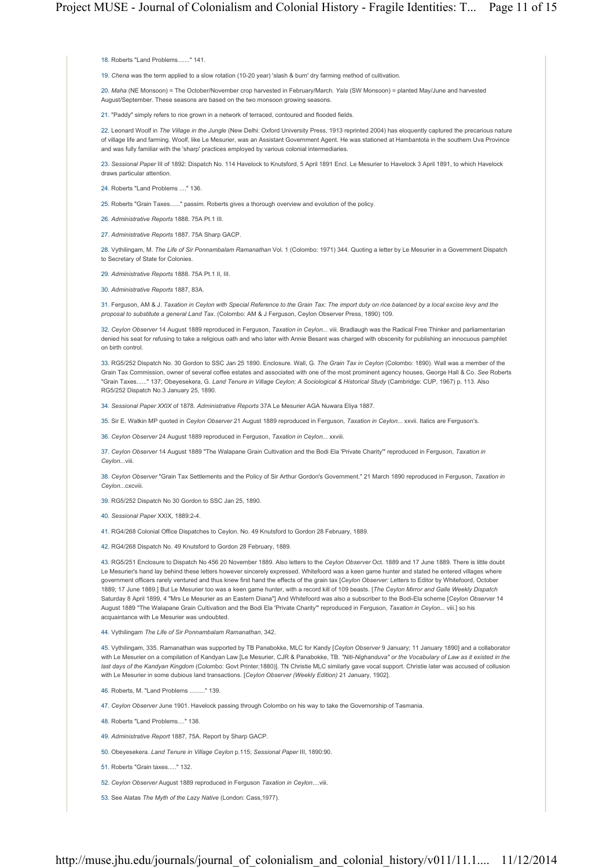18. Roberts "Land Problems......." 141.

19. *Chena* was the term applied to a slow rotation (10-20 year) 'slash & burn' dry farming method of cultivation.

20. *Maha* (NE Monsoon) = The October/November crop harvested in February/March. *Yala* (SW Monsoon) = planted May/June and harvested August/September. These seasons are based on the two monsoon growing seasons.

21. "Paddy" simply refers to rice grown in a network of terraced, contoured and flooded fields.

22. Leonard Woolf in *The Village in the Jungle* (New Delhi: Oxford University Press, 1913 reprinted 2004) has eloquently captured the precarious nature of village life and farming. Woolf, like Le Mesurier, was an Assistant Government Agent. He was stationed at Hambantota in the southern Uva Province and was fully familiar with the 'sharp' practices employed by various colonial intermediaries.

23. *Sessional Paper* III of 1892: Dispatch No. 114 Havelock to Knutsford, 5 April 1891 Encl. Le Mesurier to Havelock 3 April 1891, to which Havelock draws particular attention.

24. Roberts "Land Problems ...." 136.

25. Roberts "Grain Taxes......" passim. Roberts gives a thorough overview and evolution of the policy.

26. *Administrative Reports* 1888. 75A Pt.1 III.

27. *Administrative Reports* 1887. 75A Sharp GACP.

28. Vythilingam, M. *The Life of Sir Ponnambalam Ramanathan* Vol. 1 (Colombo: 1971) 344. Quoting a letter by Le Mesurier in a Government Dispatch to Secretary of State for Colonies.

29. *Administrative Reports* 1888. 75A Pt.1 II, III.

30. *Administrative Reports* 1887, 83A.

31. Ferguson, AM & J. *Taxation in Ceylon with Special Reference to the Grain Tax: The import duty on rice balanced by a local excise levy and the proposal to substitute a general Land Tax*. (Colombo: AM & J Ferguson, Ceylon Observer Press, 1890) 109.

32. *Ceylon Observer* 14 August 1889 reproduced in Ferguson, *Taxation in Ceylon...* viii. Bradlaugh was the Radical Free Thinker and parliamentarian denied his seat for refusing to take a religious oath and who later with Annie Besant was charged with obscenity for publishing an innocuous pamphlet on birth control.

33. RG5/252 Dispatch No. 30 Gordon to SSC Jan 25 1890. Enclosure. Wall, G. *The Grain Tax in Ceylon* (Colombo: 1890). Wall was a member of the Grain Tax Commission, owner of several coffee estates and associated with one of the most prominent agency houses, George Hall & Co. *See* Roberts "Grain Taxes......" 137; Obeyesekera, G. *Land Tenure in Village Ceylon; A Sociological & Historical Study* (Cambridge: CUP, 1967) p. 113. Also RG5/252 Dispatch No.3 January 25, 1890.

34. *Sessional Paper XXIX* of 1878. *Administrative Reports* 37A Le Mesurier AGA Nuwara Eliya 1887.

35. Sir E. Watkin MP quoted in *Ceylon Observer* 21 August 1889 reproduced in Ferguson, *Taxation in Ceylon...* xxvii. Italics are Ferguson's.

36. *Ceylon Observer* 24 August 1889 reproduced in Ferguson, *Taxation in Ceylon...* xxviii.

37. *Ceylon Observer* 14 August 1889 "The Walapane Grain Cultivation and the Bodi Ela 'Private Charity'" reproduced in Ferguson, *Taxation in Ceylon...*viii.

38. *Ceylon Observer* "Grain Tax Settlements and the Policy of Sir Arthur Gordon's Government." 21 March 1890 reproduced in Ferguson, *Taxation in Ceylon...*cxcviii.

39. RG5/252 Dispatch No 30 Gordon to SSC Jan 25, 1890.

40. *Sessional Paper* XXIX, 1889:2-4.

41. RG4/268 Colonial Office Dispatches to Ceylon. No. 49 Knutsford to Gordon 28 February, 1889.

42. RG4/268 Dispatch No. 49 Knutsford to Gordon 28 February, 1889.

43. RG5/251 Enclosure to Dispatch No 456 20 November 1889. Also letters to the *Ceylon Observer* Oct. 1889 and 17 June 1889. There is little doubt Le Mesurier's hand lay behind these letters however sincerely expressed. Whitefoord was a keen game hunter and stated he entered villages where government officers rarely ventured and thus knew first hand the effects of the grain tax [*Ceylon Observer:* Letters to Editor by Whitefoord, October 1889; 17 June 1889.] But Le Mesurier too was a keen game hunter, with a record kill of 109 beasts. [*The Ceylon Mirror and Galle Weekly Dispatch* Saturday 8 April 1899, 4 "Mrs Le Mesurier as an Eastern Diana"] And Whitefoord was also a subscriber to the Bodi-Ela scheme [*Ceylon Observer* 14 August 1889 "The Walapane Grain Cultivation and the Bodi Ela 'Private Charity'" reproduced in Ferguson, *Taxation in Ceylon...* viii.] so his acquaintance with Le Mesurier was undoubted.

44. Vythilingam *The Life of Sir Ponnambalam Ramanathan*, 342.

45. Vythilingam, 335. Ramanathan was supported by TB Panabokke, MLC for Kandy [*Ceylon Observer* 9 January; 11 January 1890] and a collaborator with Le Mesurier on a compilation of Kandyan Law [Le Mesurier, CJR & Panabokke, TB. *"Niti-Nighanduva" or the Vocabulary of Law as it existed in the last days of the Kandyan Kingdom* (Colombo: Govt Printer,1880)]. TN Christie MLC similarly gave vocal support. Christie later was accused of collusion with Le Mesurier in some dubious land transactions. [*Ceylon Observer (Weekly Edition)* 21 January, 1902].

- 46. Roberts, M. "Land Problems ........." 139.
- 47. *Ceylon Observer* June 1901. Havelock passing through Colombo on his way to take the Governorship of Tasmania.

48. Roberts "Land Problems...." 138.

49. *Administrative Report* 1887, 75A. Report by Sharp GACP.

50. Obeyesekera. *Land Tenure in Village Ceylon* p.115; *Sessional Paper* III, 1890:90.

51. Roberts "Grain taxes....." 132.

52. *Ceylon Observer* August 1889 reproduced in Ferguson *Taxation in Ceylon*....viii.

53. See Alatas *The Myth of the Lazy Native* (London: Cass,1977).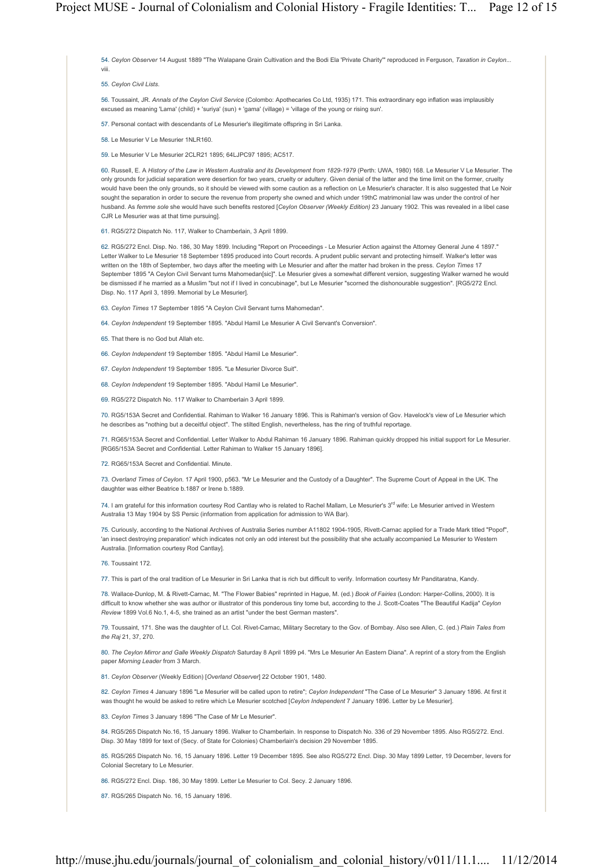54. *Ceylon Observer* 14 August 1889 "The Walapane Grain Cultivation and the Bodi Ela 'Private Charity'" reproduced in Ferguson, *Taxation in Ceylon...* viii.

55. *Ceylon Civil Lists*.

56. Toussaint, JR. *Annals of the Ceylon Civil Service* (Colombo: Apothecaries Co Ltd, 1935) 171. This extraordinary ego inflation was implausibly excused as meaning 'Lama' (child) + 'suriya' (sun) + 'gama' (village) = 'village of the young or rising sun'.

57. Personal contact with descendants of Le Mesurier's illegitimate offspring in Sri Lanka.

58. Le Mesurier V Le Mesurier 1NLR160.

59. Le Mesurier V Le Mesurier 2CLR21 1895; 64LJPC97 1895; AC517.

60. Russell, E. A *History of the Law in Western Australia and its Development from 1829-1979* (Perth: UWA, 1980) 168. Le Mesurier V Le Mesurier. The only grounds for judicial separation were desertion for two years, cruelty or adultery. Given denial of the latter and the time limit on the former, cruelty would have been the only grounds, so it should be viewed with some caution as a reflection on Le Mesurier's character. It is also suggested that Le Noir sought the separation in order to secure the revenue from property she owned and which under 19thC matrimonial law was under the control of her husband. As *femme sole* she would have such benefits restored [*Ceylon Observer (Weekly Edition)* 23 January 1902. This was revealed in a libel case CJR Le Mesurier was at that time pursuing].

61. RG5/272 Dispatch No. 117, Walker to Chamberlain, 3 April 1899.

62. RG5/272 Encl. Disp. No. 186, 30 May 1899. Including "Report on Proceedings - Le Mesurier Action against the Attorney General June 4 1897." Letter Walker to Le Mesurier 18 September 1895 produced into Court records. A prudent public servant and protecting himself. Walker's letter was written on the 18th of September, two days after the meeting with Le Mesurier and after the matter had broken in the press. *Ceylon Times* 17 September 1895 "A Ceylon Civil Servant turns Mahomedan[sic]". Le Mesurier gives a somewhat different version, suggesting Walker warned he would be dismissed if he married as a Muslim "but not if I lived in concubinage", but Le Mesurier "scorned the dishonourable suggestion". [RG5/272 Encl. Disp. No. 117 April 3, 1899. Memorial by Le Mesurier].

63. *Ceylon Times* 17 September 1895 "A Ceylon Civil Servant turns Mahomedan".

64. *Ceylon Independent* 19 September 1895. "Abdul Hamil Le Mesurier A Civil Servant's Conversion".

65. That there is no God but Allah etc.

66. *Ceylon Independent* 19 September 1895. "Abdul Hamil Le Mesurier".

67. *Ceylon Independent* 19 September 1895. "Le Mesurier Divorce Suit".

68. *Ceylon Independent* 19 September 1895. "Abdul Hamil Le Mesurier".

69. RG5/272 Dispatch No. 117 Walker to Chamberlain 3 April 1899.

70. RG5/153A Secret and Confidential. Rahiman to Walker 16 January 1896. This is Rahiman's version of Gov. Havelock's view of Le Mesurier which he describes as "nothing but a deceitful object". The stilted English, nevertheless, has the ring of truthful reportage.

71. RG65/153A Secret and Confidential. Letter Walker to Abdul Rahiman 16 January 1896. Rahiman quickly dropped his initial support for Le Mesurier. [RG65/153A Secret and Confidential. Letter Rahiman to Walker 15 January 1896].

72. RG65/153A Secret and Confidential. Minute.

73. *Overland Times of Ceylon*. 17 April 1900, p563. "Mr Le Mesurier and the Custody of a Daughter". The Supreme Court of Appeal in the UK. The daughter was either Beatrice b.1887 or Irene b.1889.

74. I am grateful for this information courtesy Rod Cantlay who is related to Rachel Mallam, Le Mesurier's 3<sup>rd</sup> wife: Le Mesurier arrived in Western Australia 13 May 1904 by SS Persic (information from application for admission to WA Bar).

75. Curiously, according to the National Archives of Australia Series number A11802 1904-1905, Rivett-Carnac applied for a Trade Mark titled "Popof", 'an insect destroying preparation' which indicates not only an odd interest but the possibility that she actually accompanied Le Mesurier to Western Australia. [Information courtesy Rod Cantlay].

76. Toussaint 172.

77. This is part of the oral tradition of Le Mesurier in Sri Lanka that is rich but difficult to verify. Information courtesy Mr Panditaratna, Kandy.

78. Wallace-Dunlop, M. & Rivett-Carnac, M. "The Flower Babies" reprinted in Hague, M. (ed.) *Book of Fairies* (London: Harper-Collins, 2000). It is difficult to know whether she was author or illustrator of this ponderous tiny tome but, according to the J. Scott-Coates "The Beautiful Kadija" *Ceylon Review* 1899 Vol.6 No.1, 4-5, she trained as an artist "under the best German masters".

79. Toussaint, 171. She was the daughter of Lt. Col. Rivet-Carnac, Military Secretary to the Gov. of Bombay. Also see Allen, C. (ed.) *Plain Tales from the Raj* 21, 37, 270.

80. *The Ceylon Mirror and Galle Weekly Dispatch* Saturday 8 April 1899 p4. "Mrs Le Mesurier An Eastern Diana". A reprint of a story from the English paper *Morning Leader* from 3 March.

81. *Ceylon Observer* (Weekly Edition) [*Overland Observer*] 22 October 1901, 1480.

82. *Ceylon Times* 4 January 1896 "Le Mesurier will be called upon to retire"; *Ceylon Independent* "The Case of Le Mesurier" 3 January 1896. At first it was thought he would be asked to retire which Le Mesurier scotched [*Ceylon Independent* 7 January 1896. Letter by Le Mesurier].

83. *Ceylon Times* 3 January 1896 "The Case of Mr Le Mesurier".

84. RG5/265 Dispatch No.16, 15 January 1896. Walker to Chamberlain. In response to Dispatch No. 336 of 29 November 1895. Also RG5/272. Encl. Disp. 30 May 1899 for text of (Secy. of State for Colonies) Chamberlain's decision 29 November 1895.

85. RG5/265 Dispatch No. 16, 15 January 1896. Letter 19 December 1895. See also RG5/272 Encl. Disp. 30 May 1899 Letter, 19 December, Ievers for Colonial Secretary to Le Mesurier.

86. RG5/272 Encl. Disp. 186, 30 May 1899. Letter Le Mesurier to Col. Secy. 2 January 1896.

87. RG5/265 Dispatch No. 16, 15 January 1896.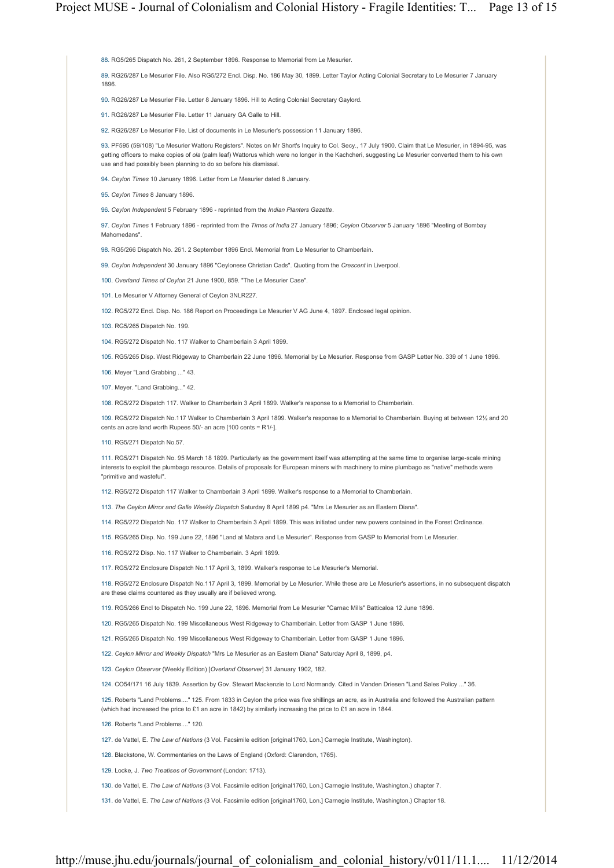88. RG5/265 Dispatch No. 261, 2 September 1896. Response to Memorial from Le Mesurier.

89. RG26/287 Le Mesurier File. Also RG5/272 Encl. Disp. No. 186 May 30, 1899. Letter Taylor Acting Colonial Secretary to Le Mesurier 7 January 1896.

90. RG26/287 Le Mesurier File. Letter 8 January 1896. Hill to Acting Colonial Secretary Gaylord.

91. RG26/287 Le Mesurier File. Letter 11 January GA Galle to Hill.

92. RG26/287 Le Mesurier File. List of documents in Le Mesurier's possession 11 January 1896.

93. PF595 (59/108) "Le Mesurier Wattoru Registers". Notes on Mr Short's Inquiry to Col. Secy., 17 July 1900. Claim that Le Mesurier, in 1894-95, was getting officers to make copies of *ola* (palm leaf) Wattorus which were no longer in the Kachcheri, suggesting Le Mesurier converted them to his own use and had possibly been planning to do so before his dismissal.

94. *Ceylon Times* 10 January 1896. Letter from Le Mesurier dated 8 January.

95. *Ceylon Times* 8 January 1896.

96. *Ceylon Independent* 5 February 1896 - reprinted from the *Indian Planters Gazette*.

97. *Ceylon Times* 1 February 1896 - reprinted from the *Times of India* 27 January 1896; *Ceylon Observer* 5 January 1896 "Meeting of Bombay Mahomedans".

98. RG5/266 Dispatch No. 261. 2 September 1896 Encl. Memorial from Le Mesurier to Chamberlain.

99. *Ceylon Independent* 30 January 1896 "Ceylonese Christian Cads". Quoting from the *Crescent* in Liverpool.

100. *Overland Times of Ceylon* 21 June 1900, 859. "The Le Mesurier Case".

101. Le Mesurier V Attorney General of Ceylon 3NLR227.

102. RG5/272 Encl. Disp. No. 186 Report on Proceedings Le Mesurier V AG June 4, 1897. Enclosed legal opinion.

103. RG5/265 Dispatch No. 199.

104. RG5/272 Dispatch No. 117 Walker to Chamberlain 3 April 1899.

105. RG5/265 Disp. West Ridgeway to Chamberlain 22 June 1896. Memorial by Le Mesurier. Response from GASP Letter No. 339 of 1 June 1896.

106. Meyer "Land Grabbing ..." 43.

107. Meyer. "Land Grabbing..." 42.

108. RG5/272 Dispatch 117. Walker to Chamberlain 3 April 1899. Walker's response to a Memorial to Chamberlain.

109. RG5/272 Dispatch No.117 Walker to Chamberlain 3 April 1899. Walker's response to a Memorial to Chamberlain. Buying at between 12½ and 20 cents an acre land worth Rupees 50/- an acre [100 cents = R1/-].

110. RG5/271 Dispatch No.57.

111. RG5/271 Dispatch No. 95 March 18 1899. Particularly as the government itself was attempting at the same time to organise large-scale mining interests to exploit the plumbago resource. Details of proposals for European miners with machinery to mine plumbago as "native" methods were "primitive and wasteful".

112. RG5/272 Dispatch 117 Walker to Chamberlain 3 April 1899. Walker's response to a Memorial to Chamberlain.

113. *The Ceylon Mirror and Galle Weekly Dispatch* Saturday 8 April 1899 p4. "Mrs Le Mesurier as an Eastern Diana".

114. RG5/272 Dispatch No. 117 Walker to Chamberlain 3 April 1899. This was initiated under new powers contained in the Forest Ordinance.

115. RG5/265 Disp. No. 199 June 22, 1896 "Land at Matara and Le Mesurier". Response from GASP to Memorial from Le Mesurier.

116. RG5/272 Disp. No. 117 Walker to Chamberlain. 3 April 1899.

117. RG5/272 Enclosure Dispatch No.117 April 3, 1899. Walker's response to Le Mesurier's Memorial.

118. RG5/272 Enclosure Dispatch No.117 April 3, 1899. Memorial by Le Mesurier. While these are Le Mesurier's assertions, in no subsequent dispatch are these claims countered as they usually are if believed wrong.

119. RG5/266 Encl to Dispatch No. 199 June 22, 1896. Memorial from Le Mesurier "Carnac Mills" Batticaloa 12 June 1896.

120. RG5/265 Dispatch No. 199 Miscellaneous West Ridgeway to Chamberlain. Letter from GASP 1 June 1896.

121. RG5/265 Dispatch No. 199 Miscellaneous West Ridgeway to Chamberlain. Letter from GASP 1 June 1896.

122. *Ceylon Mirror and Weekly Dispatch* "Mrs Le Mesurier as an Eastern Diana" Saturday April 8, 1899, p4.

123. *Ceylon Observer* (Weekly Edition) [*Overland Observer*] 31 January 1902, 182.

124. CO54/171 16 July 1839. Assertion by Gov. Stewart Mackenzie to Lord Normandy. Cited in Vanden Driesen "Land Sales Policy ..." 36.

125. Roberts "Land Problems...." 125. From 1833 in Ceylon the price was five shillings an acre, as in Australia and followed the Australian pattern (which had increased the price to £1 an acre in 1842) by similarly increasing the price to £1 an acre in 1844.

126. Roberts "Land Problems...." 120.

127. de Vattel, E. *The Law of Nations* (3 Vol. Facsimile edition [original1760, Lon.] Carnegie Institute, Washington).

128. Blackstone, W. Commentaries on the Laws of England (Oxford: Clarendon, 1765).

129. Locke, J. *Two Treatises of Government* (London: 1713).

130. de Vattel, E. *The Law of Nations* (3 Vol. Facsimile edition [original1760, Lon.] Carnegie Institute, Washington.) chapter 7.

131. de Vattel, E. *The Law of Nations* (3 Vol. Facsimile edition [original1760, Lon.] Carnegie Institute, Washington.) Chapter 18.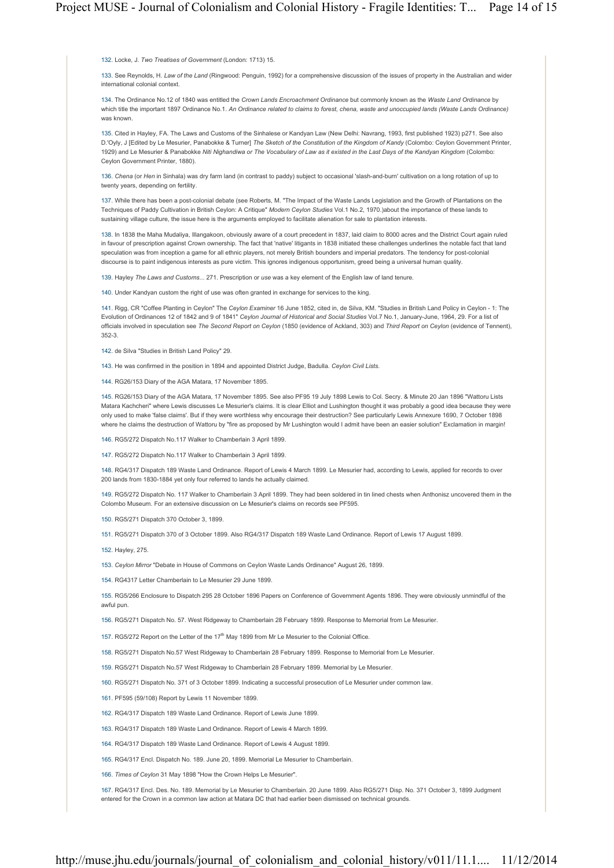132. Locke, J. *Two Treatises of Government* (London: 1713) 15.

133. See Reynolds, H. *Law of the Land* (Ringwood: Penguin, 1992) for a comprehensive discussion of the issues of property in the Australian and wider international colonial context.

134. The Ordinance No.12 of 1840 was entitled the *Crown Lands Encroachment Ordinance* but commonly known as the *Waste Land Ordinance* by which title the important 1897 Ordinance No.1. *An Ordinance related to claims to forest, chena, waste and unoccupied lands (Waste Lands Ordinance)* was known.

135. Cited in Hayley, FA. The Laws and Customs of the Sinhalese or Kandyan Law (New Delhi: Navrang, 1993, first published 1923) p271. See also D.'Oyly, J [Edited by Le Mesurier, Panabokke & Turner] *The Sketch of the Constitution of the Kingdom of Kandy* (Colombo: Ceylon Government Printer, 1929) and Le Mesurier & Panabokke *Niti Nighandiwa or The Vocabulary of Law as it existed in the Last Days of the Kandyan Kingdom* (Colombo: Ceylon Government Printer, 1880).

136. *Chena* (or *Hen* in Sinhala) was dry farm land (in contrast to paddy) subject to occasional 'slash-and-burn' cultivation on a long rotation of up to twenty years, depending on fertility.

137. While there has been a post-colonial debate (see Roberts, M. "The Impact of the Waste Lands Legislation and the Growth of Plantations on the Techniques of Paddy Cultivation in British Ceylon: A Critique" *Modern Ceylon Studies* Vol.1 No.2, 1970.)about the importance of these lands to sustaining village culture, the issue here is the arguments employed to facilitate alienation for sale to plantation interests.

138. In 1838 the Maha Mudaliya, Illangakoon, obviously aware of a court precedent in 1837, laid claim to 8000 acres and the District Court again ruled in favour of prescription against Crown ownership. The fact that 'native' litigants in 1838 initiated these challenges underlines the notable fact that land speculation was from inception a game for all ethnic players, not merely British bounders and imperial predators. The tendency for post-colonial discourse is to paint indigenous interests as pure victim. This ignores indigenous opportunism, greed being a universal human quality.

139. Hayley *The Laws and Customs*... 271. Prescription or *use* was a key element of the English law of land tenure.

140. Under Kandyan custom the right of use was often granted in exchange for services to the king.

141. Rigg, CR "Coffee Planting in Ceylon" The *Ceylon Examiner* 16 June 1852, cited in, de Silva, KM. "Studies in British Land Policy in Ceylon - 1: The Evolution of Ordinances 12 of 1842 and 9 of 1841" *Ceylon Journal of Historical and Social Studies* Vol.7 No.1, January-June, 1964, 29. For a list of officials involved in speculation see *The Second Report on Ceylon* (1850 (evidence of Ackland, 303) and *Third Report on Ceylon* (evidence of Tennent), 352-3.

- 142. de Silva "Studies in British Land Policy" 29.
- 143. He was confirmed in the position in 1894 and appointed District Judge, Badulla. *Ceylon Civil Lists*.
- 144. RG26/153 Diary of the AGA Matara, 17 November 1895.

145. RG26/153 Diary of the AGA Matara, 17 November 1895. See also PF95 19 July 1898 Lewis to Col. Secry. & Minute 20 Jan 1896 "Wattoru Lists Matara Kachcheri" where Lewis discusses Le Mesurier's claims. It is clear Elliot and Lushington thought it was probably a good idea because they were only used to make 'false claims'. But if they were worthless why encourage their destruction? See particularly Lewis Annexure 1690, 7 October 1898 where he claims the destruction of Wattoru by "fire as proposed by Mr Lushington would I admit have been an easier solution" Exclamation in margin!

- 146. RG5/272 Dispatch No.117 Walker to Chamberlain 3 April 1899.
- 147. RG5/272 Dispatch No.117 Walker to Chamberlain 3 April 1899.

148. RG4/317 Dispatch 189 Waste Land Ordinance. Report of Lewis 4 March 1899. Le Mesurier had, according to Lewis, applied for records to over 200 lands from 1830-1884 yet only four referred to lands he actually claimed.

149. RG5/272 Dispatch No. 117 Walker to Chamberlain 3 April 1899. They had been soldered in tin lined chests when Anthonisz uncovered them in the Colombo Museum. For an extensive discussion on Le Mesurier's claims on records see PF595.

- 150. RG5/271 Dispatch 370 October 3, 1899.
- 151. RG5/271 Dispatch 370 of 3 October 1899. Also RG4/317 Dispatch 189 Waste Land Ordinance. Report of Lewis 17 August 1899.
- 152. Hayley, 275.
- 153. *Ceylon Mirror* "Debate in House of Commons on Ceylon Waste Lands Ordinance" August 26, 1899.
- 154. RG4317 Letter Chamberlain to Le Mesurier 29 June 1899.

155. RG5/266 Enclosure to Dispatch 295 28 October 1896 Papers on Conference of Government Agents 1896. They were obviously unmindful of the awful pun.

156. RG5/271 Dispatch No. 57. West Ridgeway to Chamberlain 28 February 1899. Response to Memorial from Le Mesurier.

157. RG5/272 Report on the Letter of the 17<sup>th</sup> May 1899 from Mr Le Mesurier to the Colonial Office.

158. RG5/271 Dispatch No.57 West Ridgeway to Chamberlain 28 February 1899. Response to Memorial from Le Mesurier.

- 159. RG5/271 Dispatch No.57 West Ridgeway to Chamberlain 28 February 1899. Memorial by Le Mesurier.
- 160. RG5/271 Dispatch No. 371 of 3 October 1899. Indicating a successful prosecution of Le Mesurier under common law.
- 161. PF595 (59/108) Report by Lewis 11 November 1899.
- 162. RG4/317 Dispatch 189 Waste Land Ordinance. Report of Lewis June 1899.
- 163. RG4/317 Dispatch 189 Waste Land Ordinance. Report of Lewis 4 March 1899.
- 164. RG4/317 Dispatch 189 Waste Land Ordinance. Report of Lewis 4 August 1899.
- 165. RG4/317 Encl. Dispatch No. 189. June 20, 1899. Memorial Le Mesurier to Chamberlain.
- 166. *Times of Ceylon* 31 May 1898 "How the Crown Helps Le Mesurier".

167. RG4/317 Encl. Des. No. 189. Memorial by Le Mesurier to Chamberlain. 20 June 1899. Also RG5/271 Disp. No. 371 October 3, 1899 Judgment entered for the Crown in a common law action at Matara DC that had earlier been dismissed on technical grounds.